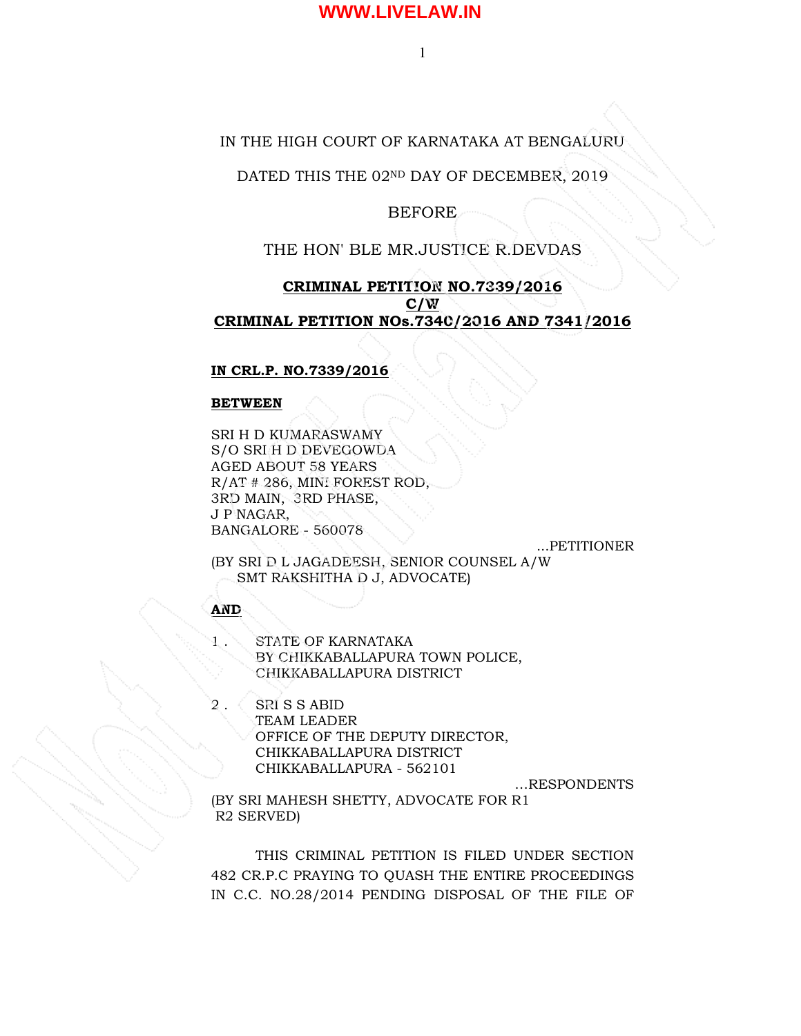1

### IN THE HIGH COURT OF KARNATAKA AT BENGALURU

DATED THIS THE 02ND DAY OF DECEMBER, 2019

### BEFORE

### THE HON' BLE MR.JUSTICE R.DEVDAS

### CRIMINAL PETITION NO.7339/2016  $C/W$ CRIMINAL PETITION NOs.7340/2016 AND 7341/2016

### IN CRL.P. NO.7339/2016

### BETWEEN

SRI H D KUMARASWAMY S/O SRI H D DEVEGOWDA AGED ABOUT 58 YEARS R/AT # 286, MINI FOREST ROD, 3RD MAIN, 3RD PHASE, J P NAGAR, BANGALORE - 560078

...PETITIONER

(BY SRI D L JAGADEESH, SENIOR COUNSEL A/W SMT RAKSHITHA D J, ADVOCATE)

### AND

STATE OF KARNATAKA BY CHIKKABALLAPURA TOWN POLICE, CHIKKABALLAPURA DISTRICT

SRI S S ABID TEAM LEADER OFFICE OF THE DEPUTY DIRECTOR, CHIKKABALLAPURA DISTRICT CHIKKABALLAPURA - 562101

…RESPONDENTS

(BY SRI MAHESH SHETTY, ADVOCATE FOR R1 R2 SERVED)

THIS CRIMINAL PETITION IS FILED UNDER SECTION 482 CR.P.C PRAYING TO QUASH THE ENTIRE PROCEEDINGS IN C.C. NO.28/2014 PENDING DISPOSAL OF THE FILE OF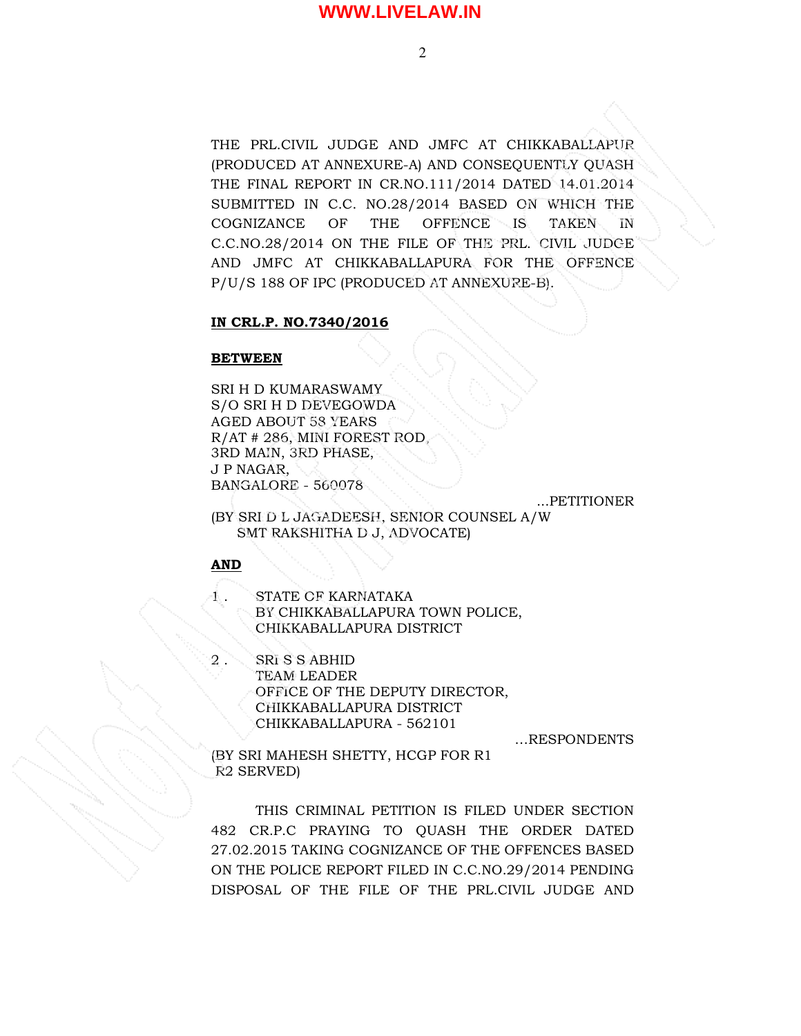THE PRL.CIVIL JUDGE AND JMFC AT CHIKKABALLAPUR (PRODUCED AT ANNEXURE-A) AND CONSEQUENTLY QUASH THE FINAL REPORT IN CR.NO.111/2014 DATED 14.01.2014 SUBMITTED IN C.C. NO.28/2014 BASED ON WHICH THE COGNIZANCE OF THE OFFENCE IS TAKEN IN C.C.NO.28/2014 ON THE FILE OF THE PRL. CIVIL JUDGE AND JMFC AT CHIKKABALLAPURA FOR THE OFFENCE P/U/S 188 OF IPC (PRODUCED AT ANNEXURE-B).

#### IN CRL.P. NO.7340/2016

#### BETWEEN

SRI H D KUMARASWAMY S/O SRI H D DEVEGOWDA AGED ABOUT 58 YEARS R/AT # 286, MINI FOREST ROD, 3RD MAIN, 3RD PHASE, J P NAGAR, BANGALORE - 560078

...PETITIONER

(BY SRI D L JAGADEESH, SENIOR COUNSEL A/W SMT RAKSHITHA D J, ADVOCATE)

### AND

1 . STATE OF KARNATAKA BY CHIKKABALLAPURA TOWN POLICE, CHIKKABALLAPURA DISTRICT

2 . SRI S S ABHID TEAM LEADER OFFICE OF THE DEPUTY DIRECTOR, CHIKKABALLAPURA DISTRICT CHIKKABALLAPURA - 562101

…RESPONDENTS

(BY SRI MAHESH SHETTY, HCGP FOR R1 R2 SERVED)

THIS CRIMINAL PETITION IS FILED UNDER SECTION 482 CR.P.C PRAYING TO QUASH THE ORDER DATED 27.02.2015 TAKING COGNIZANCE OF THE OFFENCES BASED ON THE POLICE REPORT FILED IN C.C.NO.29/2014 PENDING DISPOSAL OF THE FILE OF THE PRL.CIVIL JUDGE AND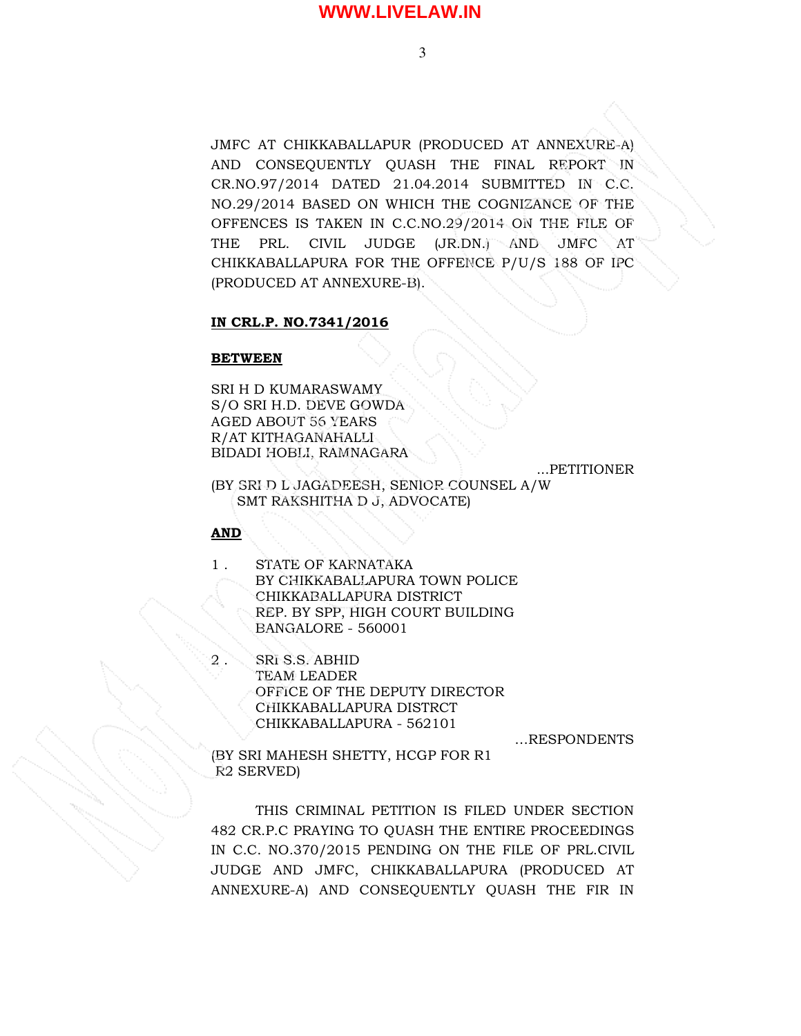JMFC AT CHIKKABALLAPUR (PRODUCED AT ANNEXURE-A) AND CONSEQUENTLY QUASH THE FINAL REPORT IN CR.NO.97/2014 DATED 21.04.2014 SUBMITTED IN C.C. NO.29/2014 BASED ON WHICH THE COGNIZANCE OF THE OFFENCES IS TAKEN IN C.C.NO.29/2014 ON THE FILE OF THE PRL. CIVIL JUDGE (JR.DN.) AND JMFC AT CHIKKABALLAPURA FOR THE OFFENCE P/U/S 188 OF IPC (PRODUCED AT ANNEXURE-B).

#### IN CRL.P. NO.7341/2016

#### BETWEEN

SRI H D KUMARASWAMY S/O SRI H.D. DEVE GOWDA AGED ABOUT 56 YEARS R/AT KITHAGANAHALLI BIDADI HOBLI, RAMNAGARA

...PETITIONER

(BY SRI D L JAGADEESH, SENIOR COUNSEL A/W SMT RAKSHITHA D J, ADVOCATE)

### AND

- 1 . STATE OF KARNATAKA BY CHIKKABALLAPURA TOWN POLICE CHIKKABALLAPURA DISTRICT REP. BY SPP, HIGH COURT BUILDING BANGALORE - 560001
	- SRI S.S. ABHID TEAM LEADER OFFICE OF THE DEPUTY DIRECTOR CHIKKABALLAPURA DISTRCT CHIKKABALLAPURA - 562101

…RESPONDENTS

(BY SRI MAHESH SHETTY, HCGP FOR R1 R2 SERVED)

THIS CRIMINAL PETITION IS FILED UNDER SECTION 482 CR.P.C PRAYING TO QUASH THE ENTIRE PROCEEDINGS IN C.C. NO.370/2015 PENDING ON THE FILE OF PRL.CIVIL JUDGE AND JMFC, CHIKKABALLAPURA (PRODUCED AT ANNEXURE-A) AND CONSEQUENTLY QUASH THE FIR IN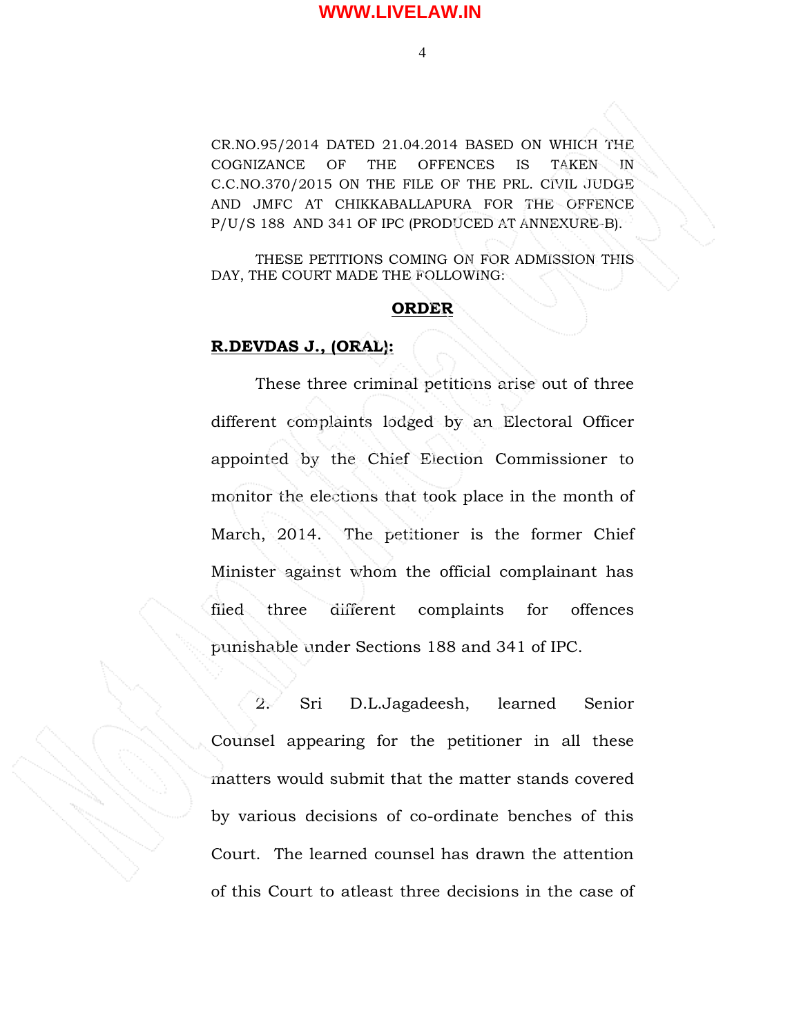CR.NO.95/2014 DATED 21.04.2014 BASED ON WHICH THE COGNIZANCE OF THE OFFENCES IS TAKEN IN C.C.NO.370/2015 ON THE FILE OF THE PRL. CIVIL JUDGE AND JMFC AT CHIKKABALLAPURA FOR THE OFFENCE P/U/S 188 AND 341 OF IPC (PRODUCED AT ANNEXURE-B).

THESE PETITIONS COMING ON FOR ADMISSION THIS DAY, THE COURT MADE THE FOLLOWING:

### ORDER

### R.DEVDAS J., (ORAL):

 These three criminal petitions arise out of three different complaints lodged by an Electoral Officer appointed by the Chief Election Commissioner to monitor the elections that took place in the month of March, 2014. The petitioner is the former Chief Minister against whom the official complainant has filed three different complaints for offences punishable under Sections 188 and 341 of IPC.

 2. Sri D.L.Jagadeesh, learned Senior Counsel appearing for the petitioner in all these matters would submit that the matter stands covered by various decisions of co-ordinate benches of this Court. The learned counsel has drawn the attention of this Court to atleast three decisions in the case of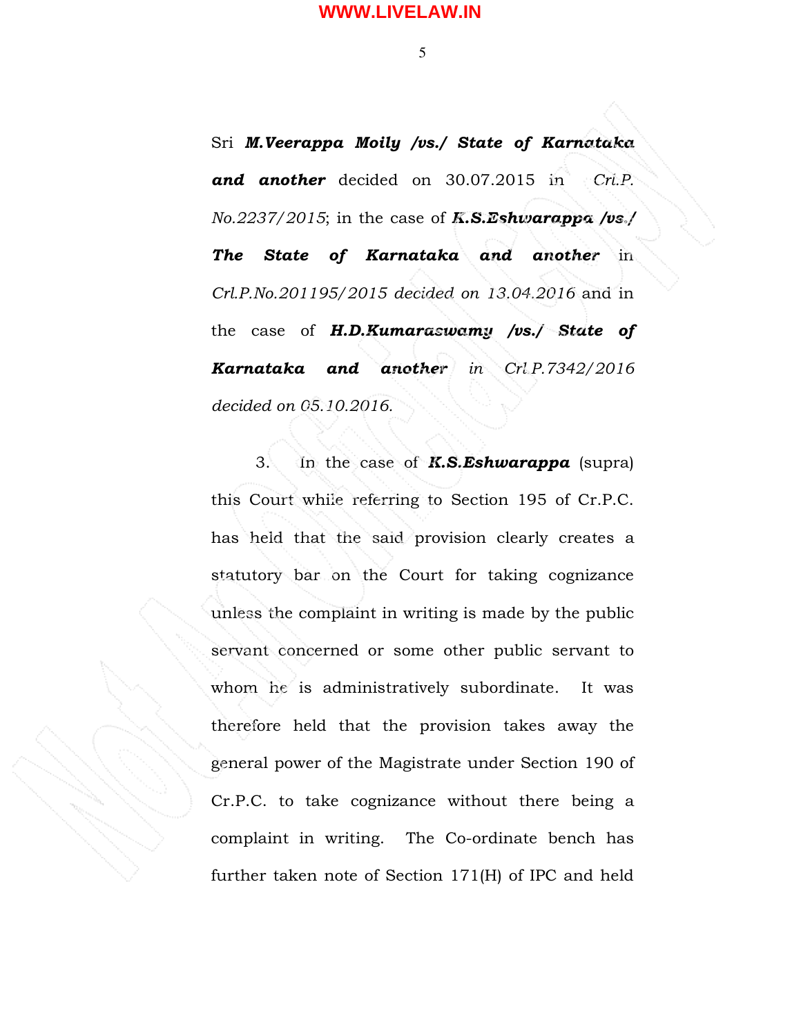5

Sri M.Veerappa Moily /vs./ State of Karnataka and another decided on 30.07.2015 in Cri.P.  $No.2237/2015$ ; in the case of **K.S.Eshwarappa** /vs./ The State of Karnataka and another in Crl.P.No.201195/2015 decided on 13.04.2016 and in the case of  $H.D.Kumaras wamy /vs./$  State of Karnataka and another in Crl.P.7342/2016 decided on 05.10.2016.

3. In the case of  $K.S.Eshwarappa$  (supra) this Court while referring to Section 195 of Cr.P.C. has held that the said provision clearly creates a statutory bar on the Court for taking cognizance unless the complaint in writing is made by the public servant concerned or some other public servant to whom he is administratively subordinate. It was therefore held that the provision takes away the general power of the Magistrate under Section 190 of Cr.P.C. to take cognizance without there being a complaint in writing. The Co-ordinate bench has further taken note of Section 171(H) of IPC and held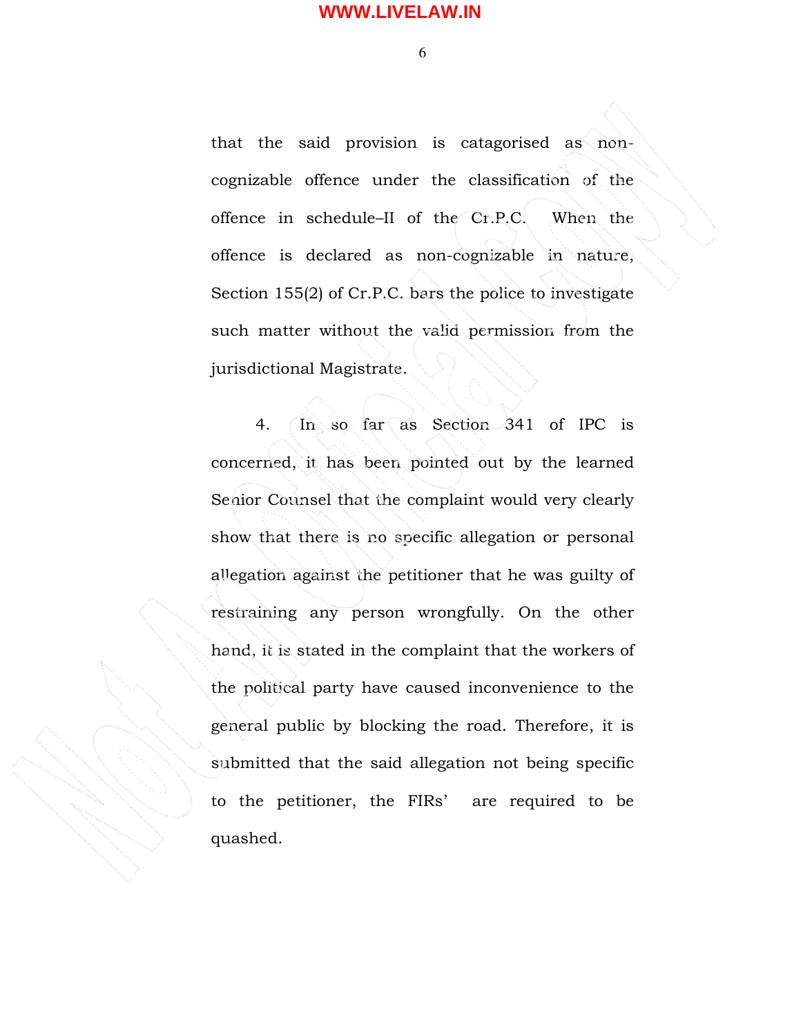$\overline{6}$ 

that the said provision is catagorised as noncognizable offence under the classification of the offence in schedule–II of the Cr.P.C. When the offence is declared as non-cognizable in nature, Section 155(2) of Cr.P.C. bars the police to investigate such matter without the valid permission from the jurisdictional Magistrate.

 4. In so far as Section 341 of IPC is concerned, it has been pointed out by the learned Senior Counsel that the complaint would very clearly show that there is no specific allegation or personal allegation against the petitioner that he was guilty of restraining any person wrongfully. On the other hand, it is stated in the complaint that the workers of the political party have caused inconvenience to the general public by blocking the road. Therefore, it is submitted that the said allegation not being specific to the petitioner, the FIRs' are required to be quashed.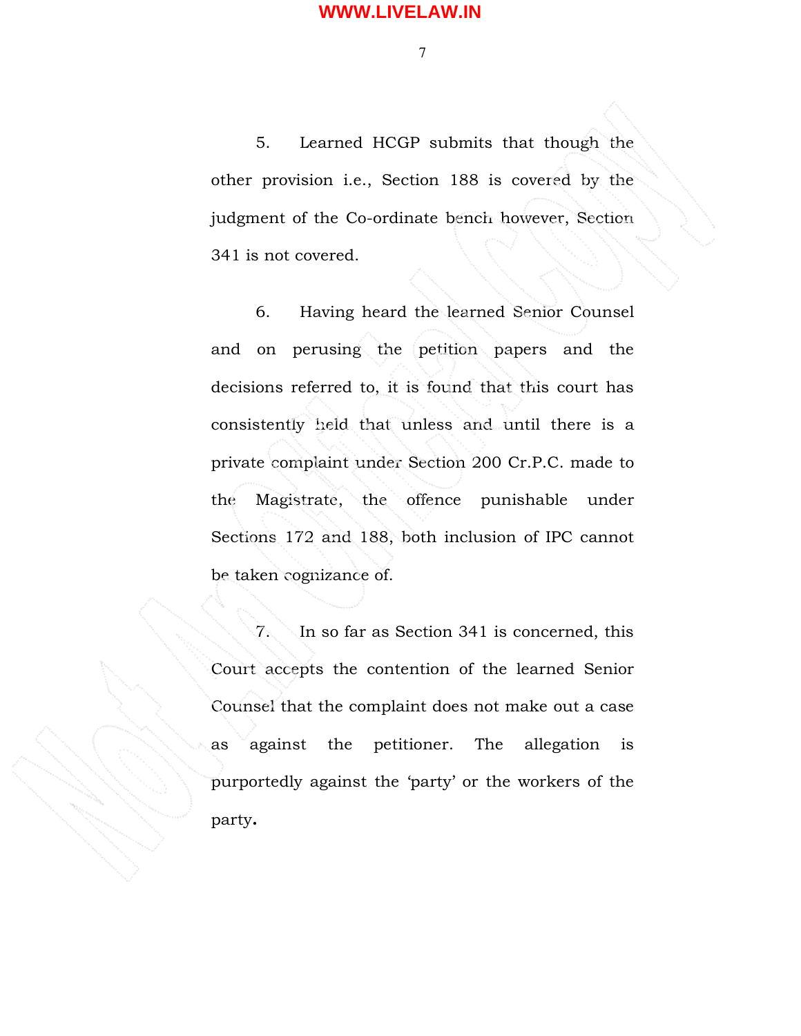7

 5. Learned HCGP submits that though the other provision i.e., Section 188 is covered by the judgment of the Co-ordinate bench however, Section 341 is not covered.

 6. Having heard the learned Senior Counsel and on perusing the petition papers and the decisions referred to, it is found that this court has consistently held that unless and until there is a private complaint under Section 200 Cr.P.C. made to the Magistrate, the offence punishable under Sections 172 and 188, both inclusion of IPC cannot be taken cognizance of.

 7. In so far as Section 341 is concerned, this Court accepts the contention of the learned Senior Counsel that the complaint does not make out a case as against the petitioner. The allegation is purportedly against the 'party' or the workers of the party.